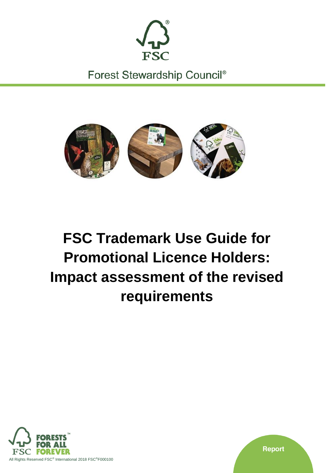

Forest Stewardship Council<sup>®</sup>



# **FSC Trademark Use Guide for Promotional Licence Holders: Impact assessment of the revised requirements**



**Report**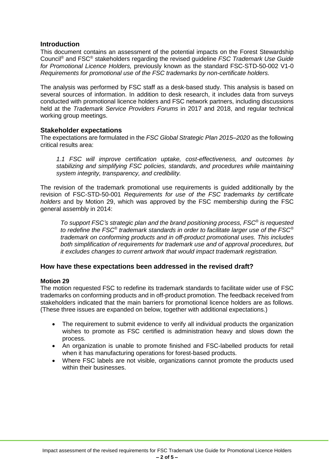# **Introduction**

This document contains an assessment of the potential impacts on the Forest Stewardship Council® and FSC® stakeholders regarding the revised guideline *FSC Trademark Use Guide for Promotional Licence Holders,* previously known as the standard FSC-STD-50-002 V1-0 *Requirements for promotional use of the FSC trademarks by non-certificate holders.*

The analysis was performed by FSC staff as a desk-based study. This analysis is based on several sources of information. In addition to desk research, it includes data from surveys conducted with promotional licence holders and FSC network partners, including discussions held at the *Trademark Service Providers Forums* in 2017 and 2018, and regular technical working group meetings.

# **Stakeholder expectations**

The expectations are formulated in the *FSC Global Strategic Plan 2015–2020* as the following critical results area:

*1.1 FSC will improve certification uptake, cost-effectiveness, and outcomes by stabilizing and simplifying FSC policies, standards, and procedures while maintaining system integrity, transparency, and credibility.*

The revision of the trademark promotional use requirements is guided additionally by the revision of FSC-STD-50-001 *Requirements for use of the FSC trademarks by certificate holders* and by Motion 29, which was approved by the FSC membership during the FSC general assembly in 2014:

*To support FSC's strategic plan and the brand positioning process, FSC® is requested to redefine the FSC® trademark standards in order to facilitate larger use of the FSC® trademark on conforming products and in off-product promotional uses. This includes both simplification of requirements for trademark use and of approval procedures, but it excludes changes to current artwork that would impact trademark registration.*

# **How have these expectations been addressed in the revised draft?**

# **Motion 29**

The motion requested FSC to redefine its trademark standards to facilitate wider use of FSC trademarks on conforming products and in off-product promotion. The feedback received from stakeholders indicated that the main barriers for promotional licence holders are as follows. (These three issues are expanded on below, together with additional expectations.)

- The requirement to submit evidence to verify all individual products the organization wishes to promote as FSC certified is administration heavy and slows down the process.
- An organization is unable to promote finished and FSC-labelled products for retail when it has manufacturing operations for forest-based products.
- Where FSC labels are not visible, organizations cannot promote the products used within their businesses.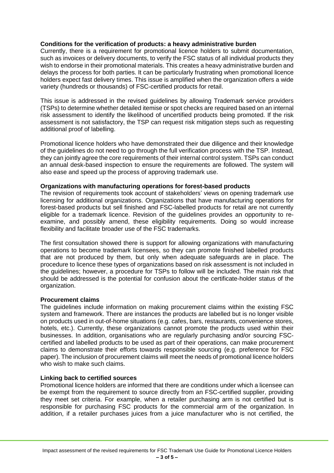# **Conditions for the verification of products: a heavy administrative burden**

Currently, there is a requirement for promotional licence holders to submit documentation, such as invoices or delivery documents, to verify the FSC status of all individual products they wish to endorse in their promotional materials. This creates a heavy administrative burden and delays the process for both parties. It can be particularly frustrating when promotional licence holders expect fast delivery times. This issue is amplified when the organization offers a wide variety (hundreds or thousands) of FSC-certified products for retail.

This issue is addressed in the revised guidelines by allowing Trademark service providers (TSPs) to determine whether detailed itemise or spot checks are required based on an internal risk assessment to identify the likelihood of uncertified products being promoted. If the risk assessment is not satisfactory, the TSP can request risk mitigation steps such as requesting additional proof of labelling.

Promotional licence holders who have demonstrated their due diligence and their knowledge of the guidelines do not need to go through the full verification process with the TSP. Instead, they can jointly agree the core requirements of their internal control system. TSPs can conduct an annual desk-based inspection to ensure the requirements are followed. The system will also ease and speed up the process of approving trademark use.

## **Organizations with manufacturing operations for forest-based products**

The revision of requirements took account of stakeholders' views on opening trademark use licensing for additional organizations. Organizations that have manufacturing operations for forest-based products but sell finished and FSC-labelled products for retail are not currently eligible for a trademark licence. Revision of the guidelines provides an opportunity to reexamine, and possibly amend, these eligibility requirements. Doing so would increase flexibility and facilitate broader use of the FSC trademarks.

The first consultation showed there is support for allowing organizations with manufacturing operations to become trademark licensees, so they can promote finished labelled products that are not produced by them, but only when adequate safeguards are in place. The procedure to licence these types of organizations based on risk assessment is not included in the guidelines; however, a procedure for TSPs to follow will be included. The main risk that should be addressed is the potential for confusion about the certificate-holder status of the organization.

#### **Procurement claims**

The guidelines include information on making procurement claims within the existing FSC system and framework. There are instances the products are labelled but is no longer visible on products used in out-of-home situations (e.g. cafes, bars, restaurants, convenience stores, hotels, etc.). Currently, these organizations cannot promote the products used within their businesses. In addition, organisations who are regularly purchasing and/or sourcing FSCcertified and labelled products to be used as part of their operations, can make procurement claims to demonstrate their efforts towards responsible sourcing (e.g. preference for FSC paper). The inclusion of procurement claims will meet the needs of promotional licence holders who wish to make such claims.

#### **Linking back to certified sources**

Promotional licence holders are informed that there are conditions under which a licensee can be exempt from the requirement to source directly from an FSC-certified supplier, providing they meet set criteria. For example, when a retailer purchasing arm is not certified but is responsible for purchasing FSC products for the commercial arm of the organization. In addition, if a retailer purchases juices from a juice manufacturer who is not certified, the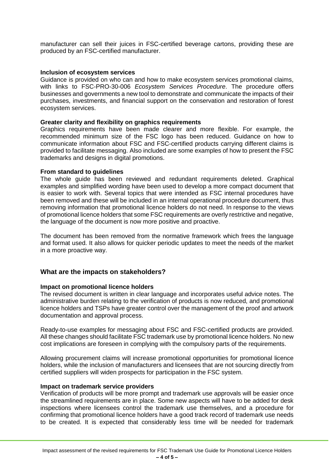manufacturer can sell their juices in FSC-certified beverage cartons, providing these are produced by an FSC-certified manufacturer.

### **Inclusion of ecosystem services**

Guidance is provided on who can and how to make ecosystem services promotional claims, with links to FSC-PRO-30-006 *Ecosystem Services Procedure*. The procedure offers businesses and governments a new tool to demonstrate and communicate the impacts of their purchases, investments, and financial support on the conservation and restoration of forest ecosystem services.

## **Greater clarity and flexibility on graphics requirements**

Graphics requirements have been made clearer and more flexible. For example, the recommended minimum size of the FSC logo has been reduced. Guidance on how to communicate information about FSC and FSC-certified products carrying different claims is provided to facilitate messaging. Also included are some examples of how to present the FSC trademarks and designs in digital promotions.

## **From standard to guidelines**

The whole guide has been reviewed and redundant requirements deleted. Graphical examples and simplified wording have been used to develop a more compact document that is easier to work with. Several topics that were intended as FSC internal procedures have been removed and these will be included in an internal operational procedure document, thus removing information that promotional licence holders do not need. In response to the views of promotional licence holders that some FSC requirements are overly restrictive and negative, the language of the document is now more positive and proactive.

The document has been removed from the normative framework which frees the language and format used. It also allows for quicker periodic updates to meet the needs of the market in a more proactive way.

# **What are the impacts on stakeholders?**

#### **Impact on promotional licence holders**

The revised document is written in clear language and incorporates useful advice notes. The administrative burden relating to the verification of products is now reduced, and promotional licence holders and TSPs have greater control over the management of the proof and artwork documentation and approval process.

Ready-to-use examples for messaging about FSC and FSC-certified products are provided. All these changes should facilitate FSC trademark use by promotional licence holders. No new cost implications are foreseen in complying with the compulsory parts of the requirements.

Allowing procurement claims will increase promotional opportunities for promotional licence holders, while the inclusion of manufacturers and licensees that are not sourcing directly from certified suppliers will widen prospects for participation in the FSC system.

### **Impact on trademark service providers**

Verification of products will be more prompt and trademark use approvals will be easier once the streamlined requirements are in place. Some new aspects will have to be added for desk inspections where licensees control the trademark use themselves, and a procedure for confirming that promotional licence holders have a good track record of trademark use needs to be created. It is expected that considerably less time will be needed for trademark